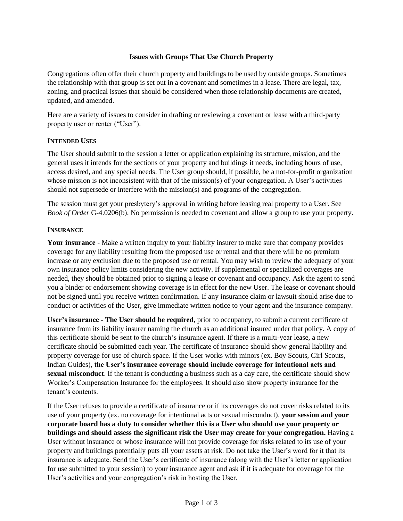## **Issues with Groups That Use Church Property**

Congregations often offer their church property and buildings to be used by outside groups. Sometimes the relationship with that group is set out in a covenant and sometimes in a lease. There are legal, tax, zoning, and practical issues that should be considered when those relationship documents are created, updated, and amended.

Here are a variety of issues to consider in drafting or reviewing a covenant or lease with a third-party property user or renter ("User").

#### **INTENDED USES**

The User should submit to the session a letter or application explaining its structure, mission, and the general uses it intends for the sections of your property and buildings it needs, including hours of use, access desired, and any special needs. The User group should, if possible, be a not-for-profit organization whose mission is not inconsistent with that of the mission(s) of your congregation. A User's activities should not supersede or interfere with the mission(s) and programs of the congregation.

The session must get your presbytery's approval in writing before leasing real property to a User. See *Book of Order* G-4.0206(b). No permission is needed to covenant and allow a group to use your property.

## **INSURANCE**

**Your insurance** - Make a written inquiry to your liability insurer to make sure that company provides coverage for any liability resulting from the proposed use or rental and that there will be no premium increase or any exclusion due to the proposed use or rental. You may wish to review the adequacy of your own insurance policy limits considering the new activity. If supplemental or specialized coverages are needed, they should be obtained prior to signing a lease or covenant and occupancy. Ask the agent to send you a binder or endorsement showing coverage is in effect for the new User. The lease or covenant should not be signed until you receive written confirmation. If any insurance claim or lawsuit should arise due to conduct or activities of the User, give immediate written notice to your agent and the insurance company.

**User's insurance** - **The User should be required**, prior to occupancy, to submit a current certificate of insurance from its liability insurer naming the church as an additional insured under that policy. A copy of this certificate should be sent to the church's insurance agent. If there is a multi-year lease, a new certificate should be submitted each year. The certificate of insurance should show general liability and property coverage for use of church space. If the User works with minors (ex. Boy Scouts, Girl Scouts, Indian Guides), **the User's insurance coverage should include coverage for intentional acts and sexual misconduct**. If the tenant is conducting a business such as a day care, the certificate should show Worker's Compensation Insurance for the employees. It should also show property insurance for the tenant's contents.

If the User refuses to provide a certificate of insurance or if its coverages do not cover risks related to its use of your property (ex. no coverage for intentional acts or sexual misconduct), **your session and your corporate board has a duty to consider whether this is a User who should use your property or buildings and should assess the significant risk the User may create for your congregation.** Having a User without insurance or whose insurance will not provide coverage for risks related to its use of your property and buildings potentially puts all your assets at risk. Do not take the User's word for it that its insurance is adequate. Send the User's certificate of insurance (along with the User's letter or application for use submitted to your session) to your insurance agent and ask if it is adequate for coverage for the User's activities and your congregation's risk in hosting the User.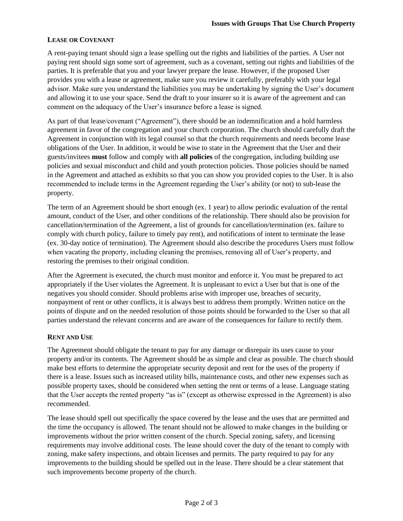# **LEASE OR COVENANT**

A rent-paying tenant should sign a lease spelling out the rights and liabilities of the parties. A User not paying rent should sign some sort of agreement, such as a covenant, setting out rights and liabilities of the parties. It is preferable that you and your lawyer prepare the lease. However, if the proposed User provides you with a lease or agreement, make sure you review it carefully, preferably with your legal advisor. Make sure you understand the liabilities you may be undertaking by signing the User's document and allowing it to use your space. Send the draft to your insurer so it is aware of the agreement and can comment on the adequacy of the User's insurance before a lease is signed.

As part of that lease/covenant ("Agreement"), there should be an indemnification and a hold harmless agreement in favor of the congregation and your church corporation. The church should carefully draft the Agreement in conjunction with its legal counsel so that the church requirements and needs become lease obligations of the User. In addition, it would be wise to state in the Agreement that the User and their guests/invitees **must** follow and comply with **all policies** of the congregation, including building use policies and sexual misconduct and child and youth protection policies. Those policies should be named in the Agreement and attached as exhibits so that you can show you provided copies to the User. It is also recommended to include terms in the Agreement regarding the User's ability (or not) to sub-lease the property.

The term of an Agreement should be short enough (ex. 1 year) to allow periodic evaluation of the rental amount, conduct of the User, and other conditions of the relationship. There should also be provision for cancellation/termination of the Agreement, a list of grounds for cancellation/termination (ex. failure to comply with church policy, failure to timely pay rent), and notifications of intent to terminate the lease (ex. 30-day notice of termination). The Agreement should also describe the procedures Users must follow when vacating the property, including cleaning the premises, removing all of User's property, and restoring the premises to their original condition.

After the Agreement is executed, the church must monitor and enforce it. You must be prepared to act appropriately if the User violates the Agreement. It is unpleasant to evict a User but that is one of the negatives you should consider. Should problems arise with improper use, breaches of security, nonpayment of rent or other conflicts, it is always best to address them promptly. Written notice on the points of dispute and on the needed resolution of those points should be forwarded to the User so that all parties understand the relevant concerns and are aware of the consequences for failure to rectify them.

#### **RENT AND USE**

The Agreement should obligate the tenant to pay for any damage or disrepair its uses cause to your property and/or its contents. The Agreement should be as simple and clear as possible. The church should make best efforts to determine the appropriate security deposit and rent for the uses of the property if there is a lease. Issues such as increased utility bills, maintenance costs, and other new expenses such as possible property taxes, should be considered when setting the rent or terms of a lease. Language stating that the User accepts the rented property "as is" (except as otherwise expressed in the Agreement) is also recommended.

The lease should spell out specifically the space covered by the lease and the uses that are permitted and the time the occupancy is allowed. The tenant should not be allowed to make changes in the building or improvements without the prior written consent of the church. Special zoning, safety, and licensing requirements may involve additional costs. The lease should cover the duty of the tenant to comply with zoning, make safety inspections, and obtain licenses and permits. The party required to pay for any improvements to the building should be spelled out in the lease. There should be a clear statement that such improvements become property of the church.